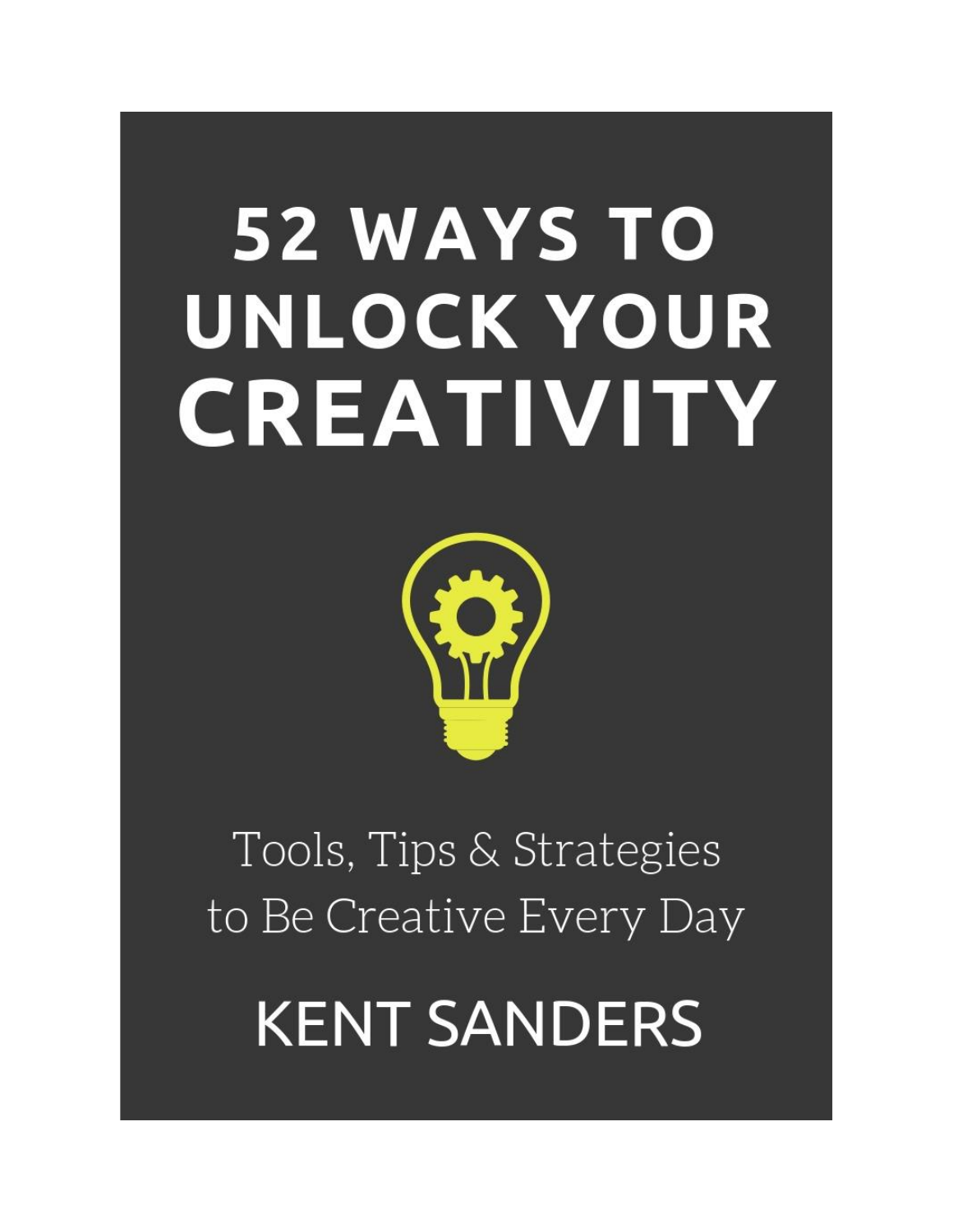# **52 WAYS TO** UNLOCK YOUR CREATIVITY



## Tools, Tips & Strategies to Be Creative Every Day

**KENT SANDERS**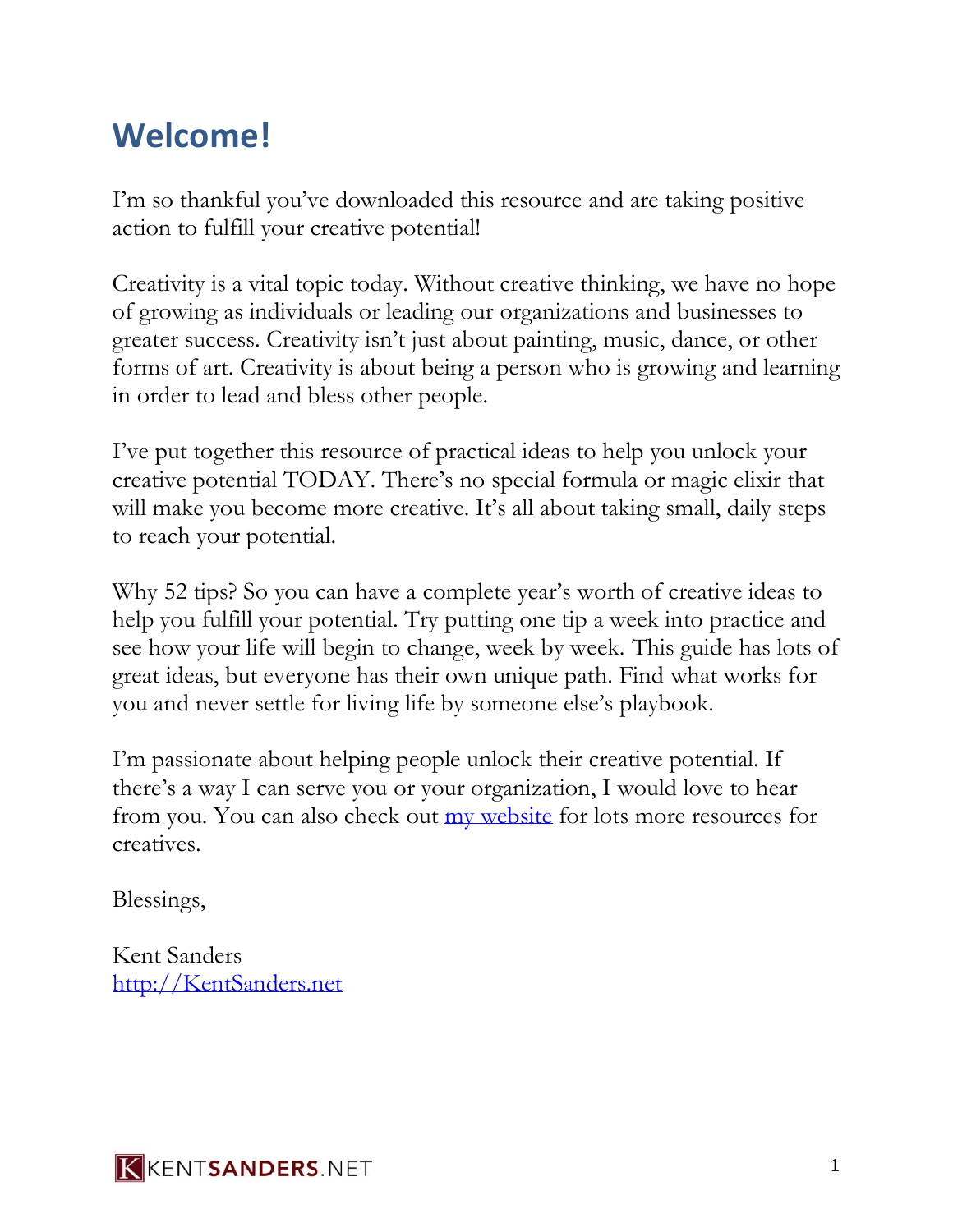## **Welcome!**

I'm so thankful you've downloaded this resource and are taking positive action to fulfill your creative potential!

Creativity is a vital topic today. Without creative thinking, we have no hope of growing as individuals or leading our organizations and businesses to greater success. Creativity isn't just about painting, music, dance, or other forms of art. Creativity is about being a person who is growing and learning in order to lead and bless other people.

I've put together this resource of practical ideas to help you unlock your creative potential TODAY. There's no special formula or magic elixir that will make you become more creative. It's all about taking small, daily steps to reach your potential.

Why 52 tips? So you can have a complete year's worth of creative ideas to help you fulfill your potential. Try putting one tip a week into practice and see how your life will begin to change, week by week. This guide has lots of great ideas, but everyone has their own unique path. Find what works for you and never settle for living life by someone else's playbook.

I'm passionate about helping people unlock their creative potential. If there's a way I can serve you or your organization, I would love to hear from you. You can also check out [my website](http://kentsanders.net/) for lots more resources for creatives.

Blessings,

Kent Sanders [http://KentSanders.net](http://kentsanders.net/)

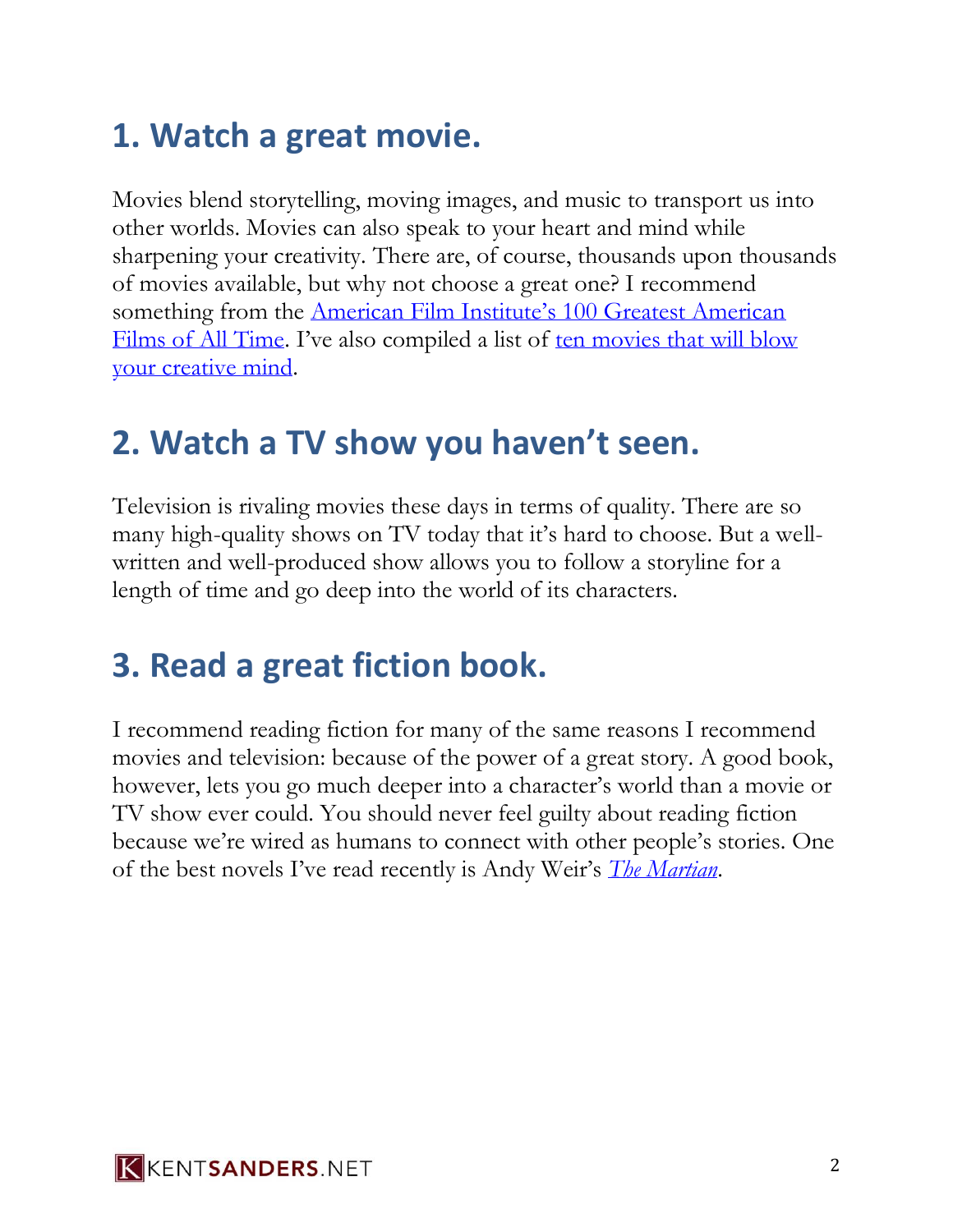## **1. Watch a great movie.**

Movies blend storytelling, moving images, and music to transport us into other worlds. Movies can also speak to your heart and mind while sharpening your creativity. There are, of course, thousands upon thousands of movies available, but why not choose a great one? I recommend something from the [American Film Institute's 100 Greatest American](http://www.afi.com/100years/movies10.aspx)  [Films of All Time.](http://www.afi.com/100years/movies10.aspx) I've also compiled a list of [ten movies that will blow](http://www.kentsanders.net/10-movies/)  [your creative mind.](http://www.kentsanders.net/10-movies/)

#### **2. Watch a TV show you haven't seen.**

Television is rivaling movies these days in terms of quality. There are so many high-quality shows on TV today that it's hard to choose. But a wellwritten and well-produced show allows you to follow a storyline for a length of time and go deep into the world of its characters.

## **3. Read a great fiction book.**

I recommend reading fiction for many of the same reasons I recommend movies and television: because of the power of a great story. A good book, however, lets you go much deeper into a character's world than a movie or TV show ever could. You should never feel guilty about reading fiction because we're wired as humans to connect with other people's stories. One of the best novels I've read recently is Andy Weir's *[The Martian](http://www.amazon.com/Martian-Andy-Weir/dp/0553418025/ref=sr_1_1?ie=UTF8&qid=1444944856&sr=8-1&keywords=the+martian)*.

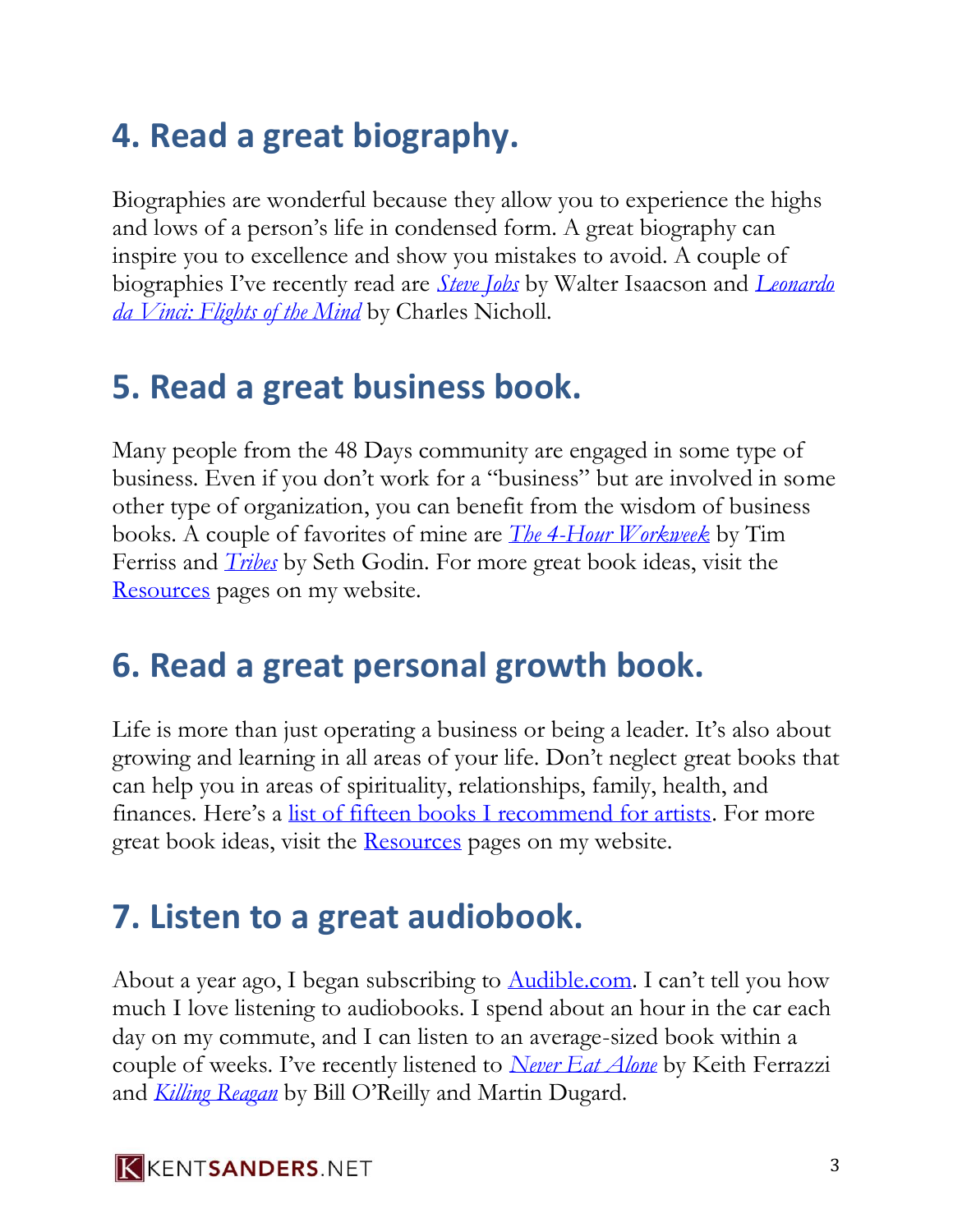## **4. Read a great biography.**

Biographies are wonderful because they allow you to experience the highs and lows of a person's life in condensed form. A great biography can inspire you to excellence and show you mistakes to avoid. A couple of biographies I've recently read are *[Steve Jobs](http://www.amazon.com/Steve-Jobs-Walter-Isaacson/dp/1501127624/ref=sr_1_1?ie=UTF8&qid=1444944993&sr=8-1&keywords=steve+jobs)* by Walter Isaacson and *[Leonardo](http://www.amazon.com/Leonardo-da-Vinci-Flights-Mind/dp/0143036122/ref=sr_1_1?ie=UTF8&qid=1444945019&sr=8-1&keywords=leonardo+flights)  [da Vinci: Flights of the Mind](http://www.amazon.com/Leonardo-da-Vinci-Flights-Mind/dp/0143036122/ref=sr_1_1?ie=UTF8&qid=1444945019&sr=8-1&keywords=leonardo+flights)* by Charles Nicholl.

#### **5. Read a great business book.**

Many people from the 48 Days community are engaged in some type of business. Even if you don't work for a "business" but are involved in some other type of organization, you can benefit from the wisdom of business books. A couple of favorites of mine are *[The 4-Hour Workweek](http://www.amazon.com/4-Hour-Workweek-Anywhere-Expanded-Updated/dp/0307465357/ref=sr_1_1?ie=UTF8&qid=1444945225&sr=8-1&keywords=4+hour+work+week)* by Tim Ferriss and *[Tribes](http://www.amazon.com/Tribes-We-Need-You-Lead/dp/1591842336/ref=sr_1_1?ie=UTF8&qid=1444945254&sr=8-1&keywords=tribes)* by Seth Godin. For more great book ideas, visit the [Resources](https://kentsanders.net/resources) pages on my website.

## **6. Read a great personal growth book.**

Life is more than just operating a business or being a leader. It's also about growing and learning in all areas of your life. Don't neglect great books that can help you in areas of spirituality, relationships, family, health, and finances. Here's a [list of fifteen books I recommend for artists.](http://www.kentsanders.net/15-essential-books-for-artists/) For more great book ideas, visit the [Resources](https://kentsanders.net/resources) pages on my website.

## **7. Listen to a great audiobook.**

About a year ago, I began subscribing to [Audible.com](http://audible.com/). I can't tell you how much I love listening to audiobooks. I spend about an hour in the car each day on my commute, and I can listen to an average-sized book within a couple of weeks. I've recently listened to *[Never Eat Alone](http://www.audible.com/pd/Business/Never-Eat-Alone-Expanded-and-Updated-Audiobook/B00M049VHC/ref=a_search_c4_1_1_srTtl?qid=1444945620&sr=1-1)* by Keith Ferrazzi and *[Killing Reagan](http://www.audible.com/pd/History/Killing-Reagan-Audiobook/B00YNFR23G/ref=a_search_c4_1_1_srTtl?qid=1444945664&sr=1-1)* by Bill O'Reilly and Martin Dugard.

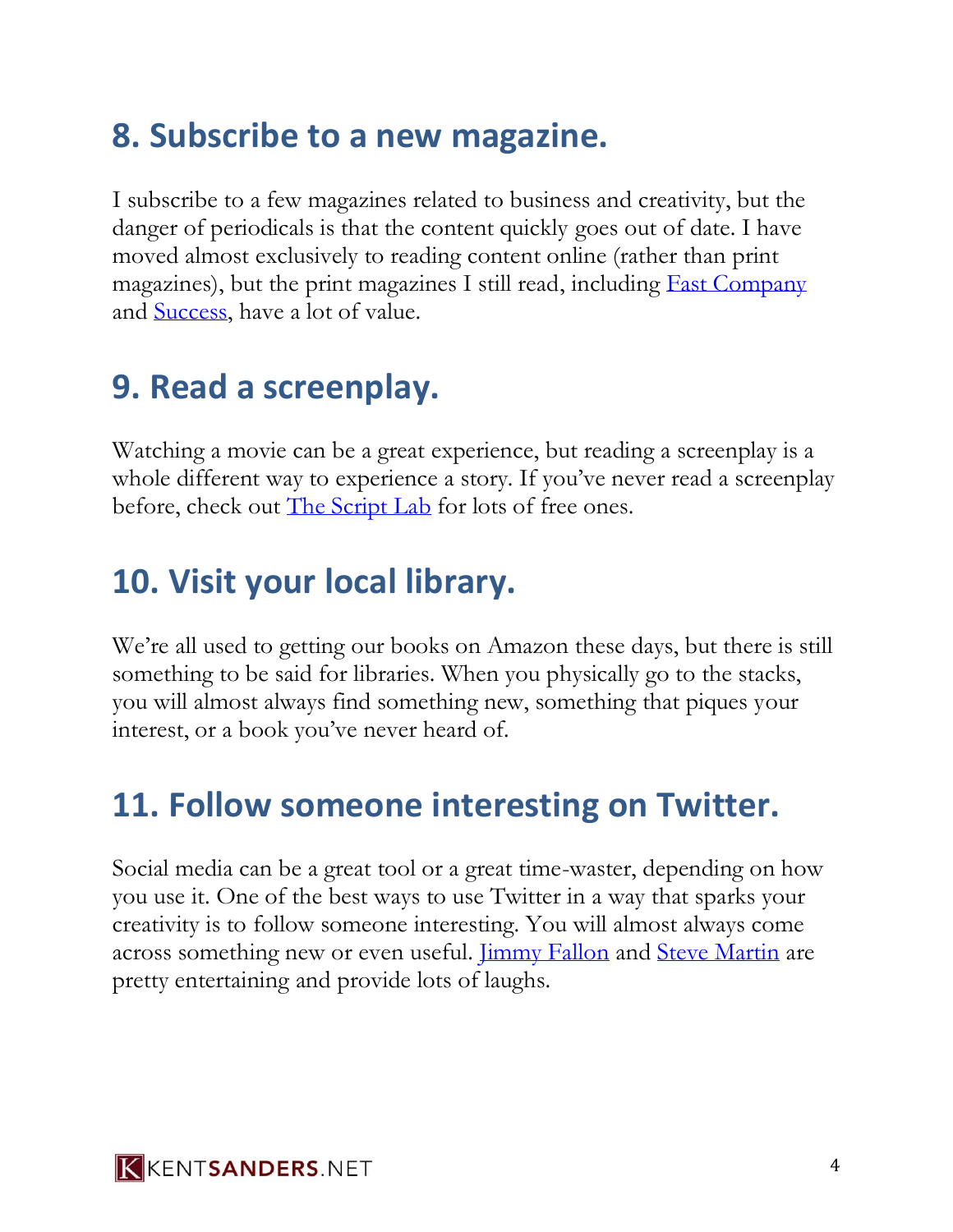## **8. Subscribe to a new magazine.**

I subscribe to a few magazines related to business and creativity, but the danger of periodicals is that the content quickly goes out of date. I have moved almost exclusively to reading content online (rather than print magazines), but the print magazines I still read, including [Fast Company](http://fastcompany.com/) and [Success,](http://success.com/) have a lot of value.

#### **9. Read a screenplay.**

Watching a movie can be a great experience, but reading a screenplay is a whole different way to experience a story. If you've never read a screenplay before, check out [The Script Lab](http://thescriptlab.com/download-scripts) for lots of free ones.

#### **10. Visit your local library.**

We're all used to getting our books on Amazon these days, but there is still something to be said for libraries. When you physically go to the stacks, you will almost always find something new, something that piques your interest, or a book you've never heard of.

#### **11. Follow someone interesting on Twitter.**

Social media can be a great tool or a great time-waster, depending on how you use it. One of the best ways to use Twitter in a way that sparks your creativity is to follow someone interesting. You will almost always come across something new or even useful. [Jimmy Fallon](https://twitter.com/jimmyfallon) and [Steve Martin](https://twitter.com/SteveMartinToGo) are pretty entertaining and provide lots of laughs.

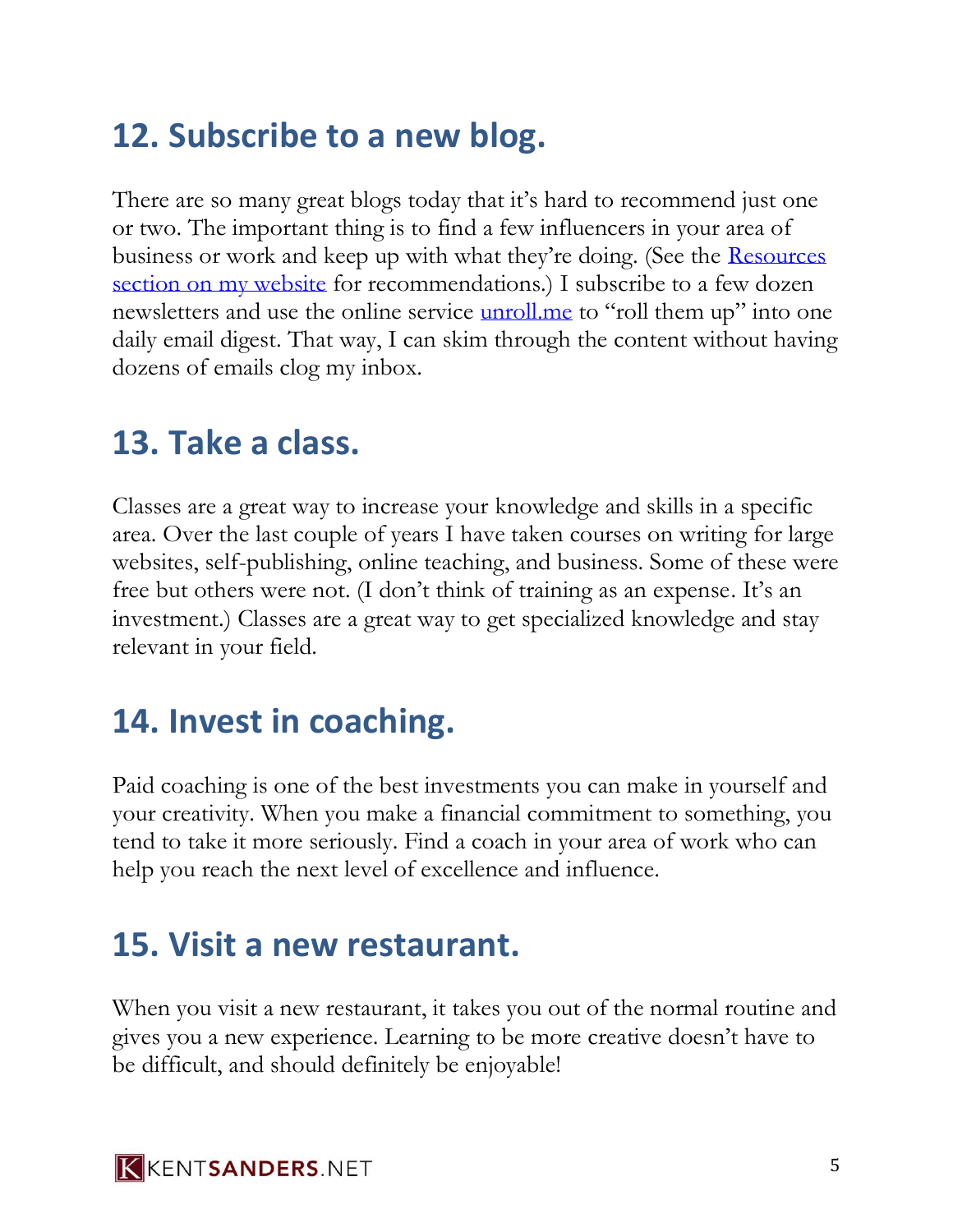## **12. Subscribe to a new blog.**

There are so many great blogs today that it's hard to recommend just one or two. The important thing is to find a few influencers in your area of business or work and keep up with what they're doing. (See the [Resources](http://kentsanders.net/resources)  [section on my website](http://kentsanders.net/resources) for recommendations.) I subscribe to a few dozen newsletters and use the online service [unroll.me](http://unroll.me/) to "roll them up" into one daily email digest. That way, I can skim through the content without having dozens of emails clog my inbox.

#### **13. Take a class.**

Classes are a great way to increase your knowledge and skills in a specific area. Over the last couple of years I have taken courses on writing for large websites, self-publishing, online teaching, and business. Some of these were free but others were not. (I don't think of training as an expense. It's an investment.) Classes are a great way to get specialized knowledge and stay relevant in your field.

## **14. Invest in coaching.**

Paid coaching is one of the best investments you can make in yourself and your creativity. When you make a financial commitment to something, you tend to take it more seriously. Find a coach in your area of work who can help you reach the next level of excellence and influence.

#### **15. Visit a new restaurant.**

When you visit a new restaurant, it takes you out of the normal routine and gives you a new experience. Learning to be more creative doesn't have to be difficult, and should definitely be enjoyable!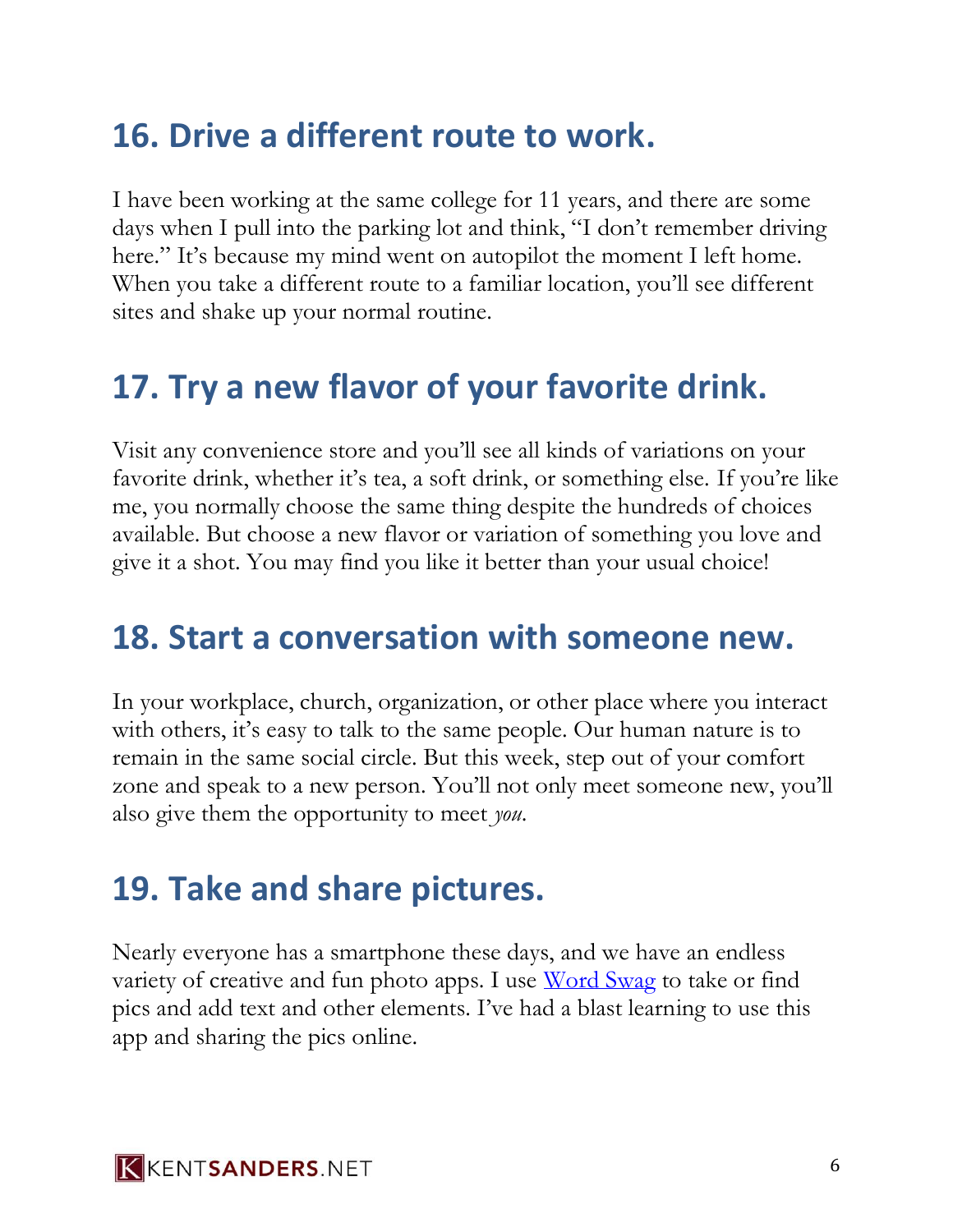## **16. Drive a different route to work.**

I have been working at the same college for 11 years, and there are some days when I pull into the parking lot and think, "I don't remember driving here." It's because my mind went on autopilot the moment I left home. When you take a different route to a familiar location, you'll see different sites and shake up your normal routine.

## **17. Try a new flavor of your favorite drink.**

Visit any convenience store and you'll see all kinds of variations on your favorite drink, whether it's tea, a soft drink, or something else. If you're like me, you normally choose the same thing despite the hundreds of choices available. But choose a new flavor or variation of something you love and give it a shot. You may find you like it better than your usual choice!

#### **18. Start a conversation with someone new.**

In your workplace, church, organization, or other place where you interact with others, it's easy to talk to the same people. Our human nature is to remain in the same social circle. But this week, step out of your comfort zone and speak to a new person. You'll not only meet someone new, you'll also give them the opportunity to meet *you*.

#### **19. Take and share pictures.**

Nearly everyone has a smartphone these days, and we have an endless variety of creative and fun photo apps. I use [Word Swag](http://wordswag.co/) to take or find pics and add text and other elements. I've had a blast learning to use this app and sharing the pics online.

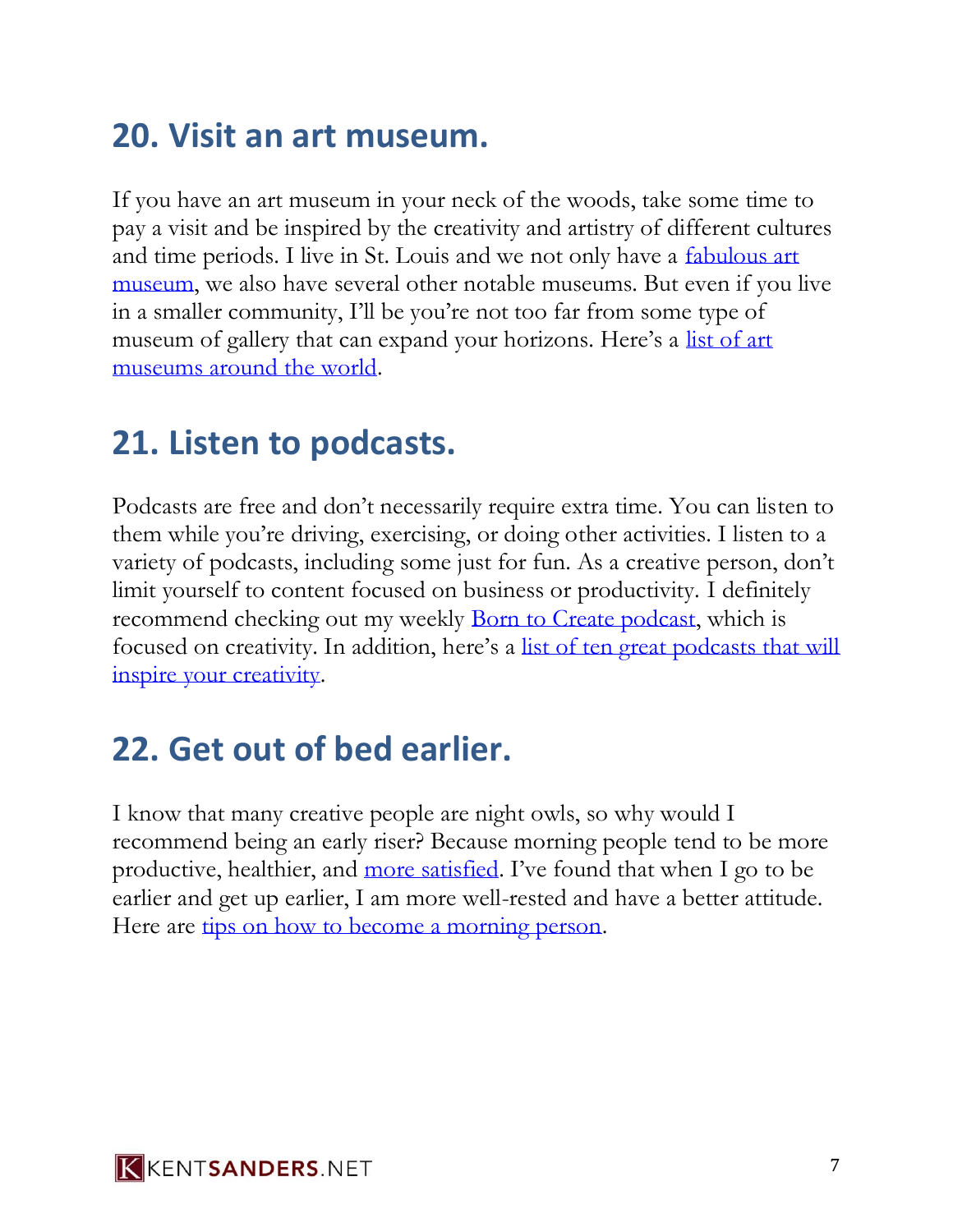## **20. Visit an art museum.**

If you have an art museum in your neck of the woods, take some time to pay a visit and be inspired by the creativity and artistry of different cultures and time periods. I live in St. Louis and we not only have a [fabulous art](http://www.slam.org/)  [museum,](http://www.slam.org/) we also have several other notable museums. But even if you live in a smaller community, I'll be you're not too far from some type of museum of gallery that can expand your horizons. Here's a list of art [museums around the world.](https://en.wikipedia.org/wiki/List_of_art_museums)

#### **21. Listen to podcasts.**

Podcasts are free and don't necessarily require extra time. You can listen to them while you're driving, exercising, or doing other activities. I listen to a variety of podcasts, including some just for fun. As a creative person, don't limit yourself to content focused on business or productivity. I definitely recommend checking out my weekly [Born to Create podcast,](https://kentsanders.net/podcast) which is focused on creativity. In addition, here's a [list of ten great podcasts that will](http://www.kentsanders.net/top-10-podcasts-for-artists/)  [inspire your creativity.](http://www.kentsanders.net/top-10-podcasts-for-artists/)

## **22. Get out of bed earlier.**

I know that many creative people are night owls, so why would I recommend being an early riser? Because morning people tend to be more productive, healthier, and [more satisfied.](http://www.livescience.com/20880-morning-people-happier.html) I've found that when I go to be earlier and get up earlier, I am more well-rested and have a better attitude. Here are [tips on how to become a morning person.](/to/http/::michaelhyatt.com:how-to-become-a-morning-person.html)

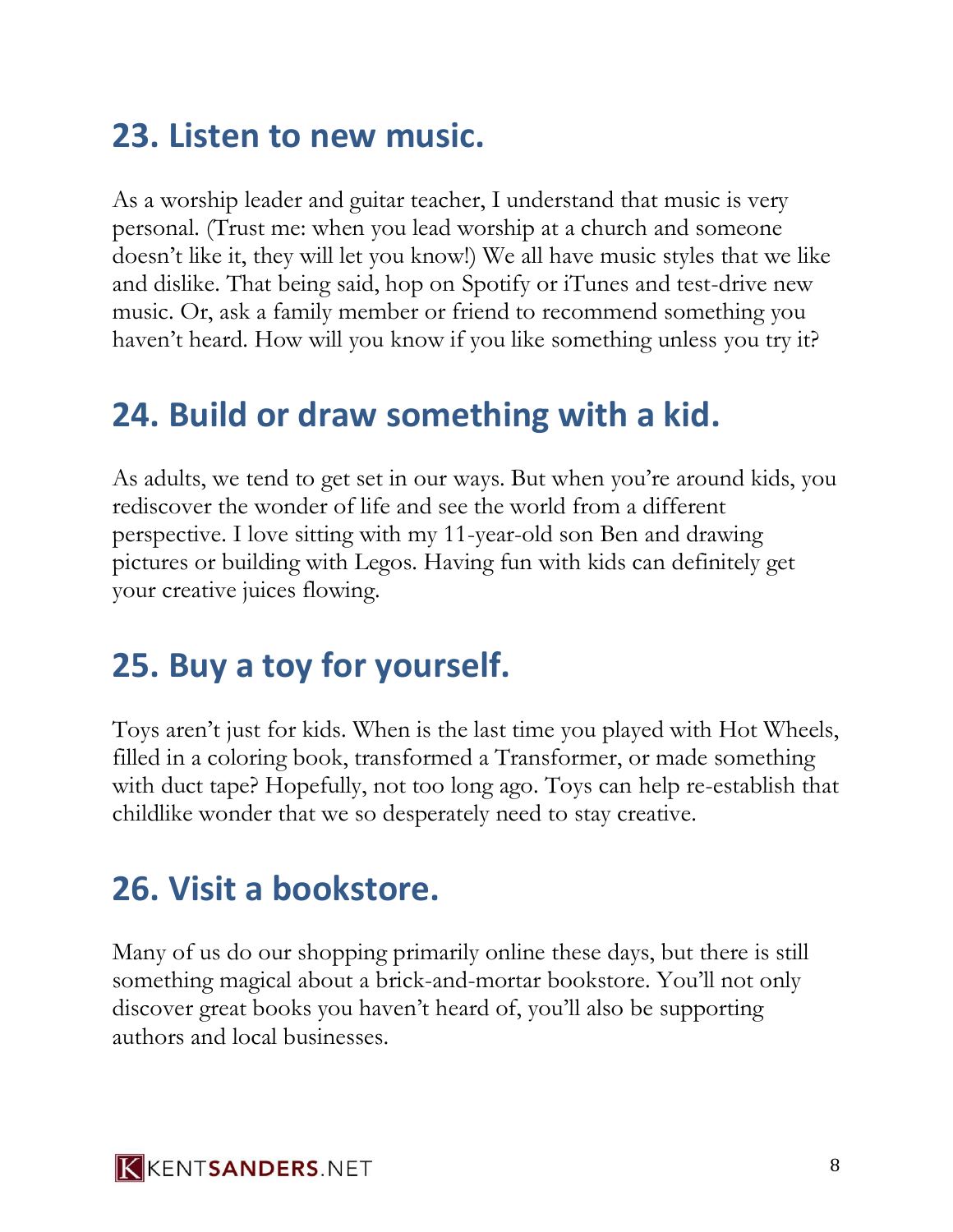## **23. Listen to new music.**

As a worship leader and guitar teacher, I understand that music is very personal. (Trust me: when you lead worship at a church and someone doesn't like it, they will let you know!) We all have music styles that we like and dislike. That being said, hop on Spotify or iTunes and test-drive new music. Or, ask a family member or friend to recommend something you haven't heard. How will you know if you like something unless you try it?

## **24. Build or draw something with a kid.**

As adults, we tend to get set in our ways. But when you're around kids, you rediscover the wonder of life and see the world from a different perspective. I love sitting with my 11-year-old son Ben and drawing pictures or building with Legos. Having fun with kids can definitely get your creative juices flowing.

## **25. Buy a toy for yourself.**

Toys aren't just for kids. When is the last time you played with Hot Wheels, filled in a coloring book, transformed a Transformer, or made something with duct tape? Hopefully, not too long ago. Toys can help re-establish that childlike wonder that we so desperately need to stay creative.

#### **26. Visit a bookstore.**

Many of us do our shopping primarily online these days, but there is still something magical about a brick-and-mortar bookstore. You'll not only discover great books you haven't heard of, you'll also be supporting authors and local businesses.

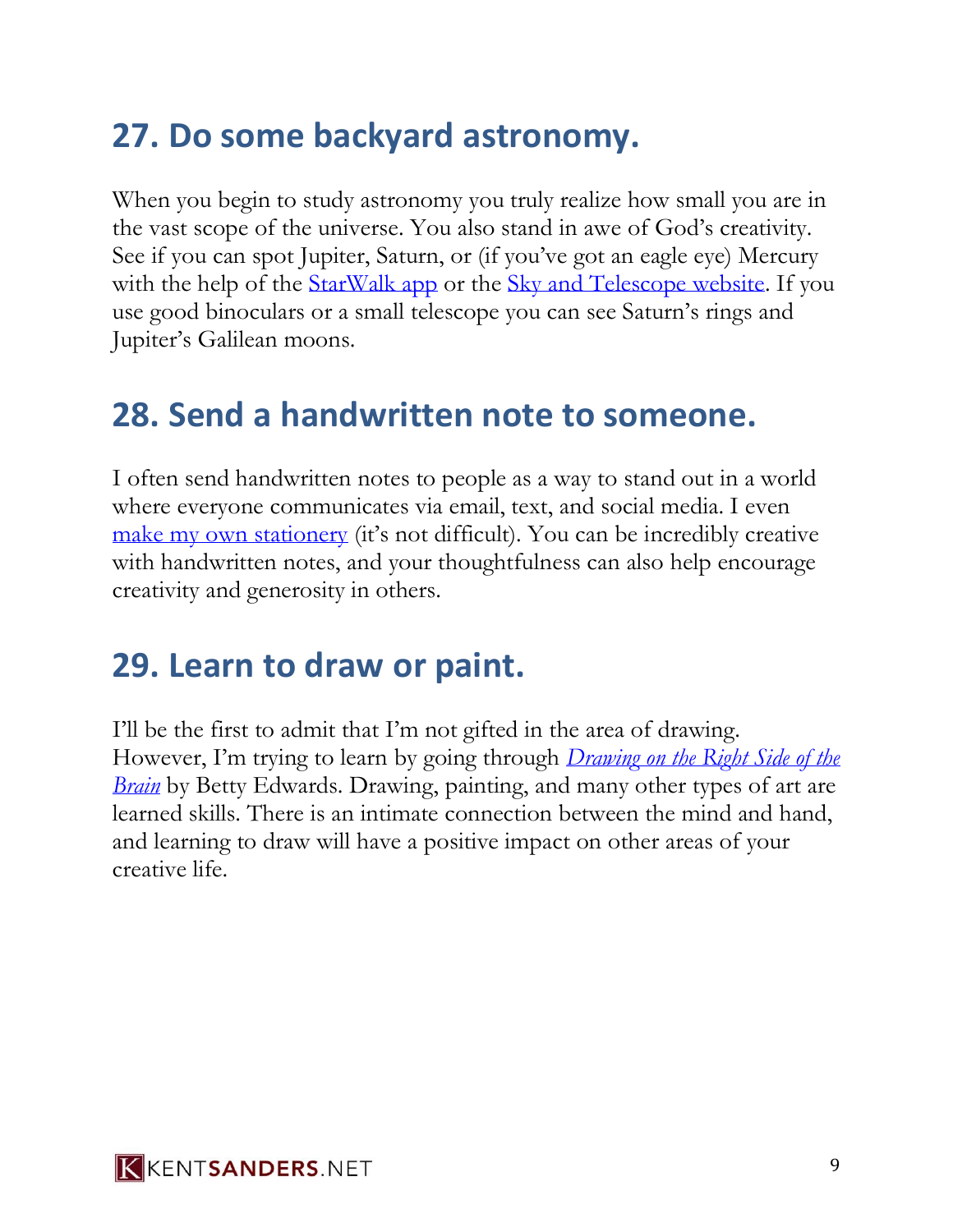## **27. Do some backyard astronomy.**

When you begin to study astronomy you truly realize how small you are in the vast scope of the universe. You also stand in awe of God's creativity. See if you can spot Jupiter, Saturn, or (if you've got an eagle eye) Mercury with the help of the [StarWalk app](http://vitotechnology.com/star-walk.html) or the [Sky and Telescope website.](http://www.skyandtelescope.com/) If you use good binoculars or a small telescope you can see Saturn's rings and Jupiter's Galilean moons.

#### **28. Send a handwritten note to someone.**

I often send handwritten notes to people as a way to stand out in a world where everyone communicates via email, text, and social media. I even [make my own stationery](http://www.kentsanders.net/stationery/) (it's not difficult). You can be incredibly creative with handwritten notes, and your thoughtfulness can also help encourage creativity and generosity in others.

#### **29. Learn to draw or paint.**

I'll be the first to admit that I'm not gifted in the area of drawing. However, I'm trying to learn by going through *[Drawing on the Right Side of the](http://www.amazon.com/Drawing-Right-Side-Brain-Definitive/dp/1585429201/ref=sr_1_1%3Fie=UTF8%26qid=1444961033%26sr=8-1%26keywords=drawing+on+the+right+side)  [Brain](http://www.amazon.com/Drawing-Right-Side-Brain-Definitive/dp/1585429201/ref=sr_1_1%3Fie=UTF8%26qid=1444961033%26sr=8-1%26keywords=drawing+on+the+right+side)* by Betty Edwards. Drawing, painting, and many other types of art are learned skills. There is an intimate connection between the mind and hand, and learning to draw will have a positive impact on other areas of your creative life.

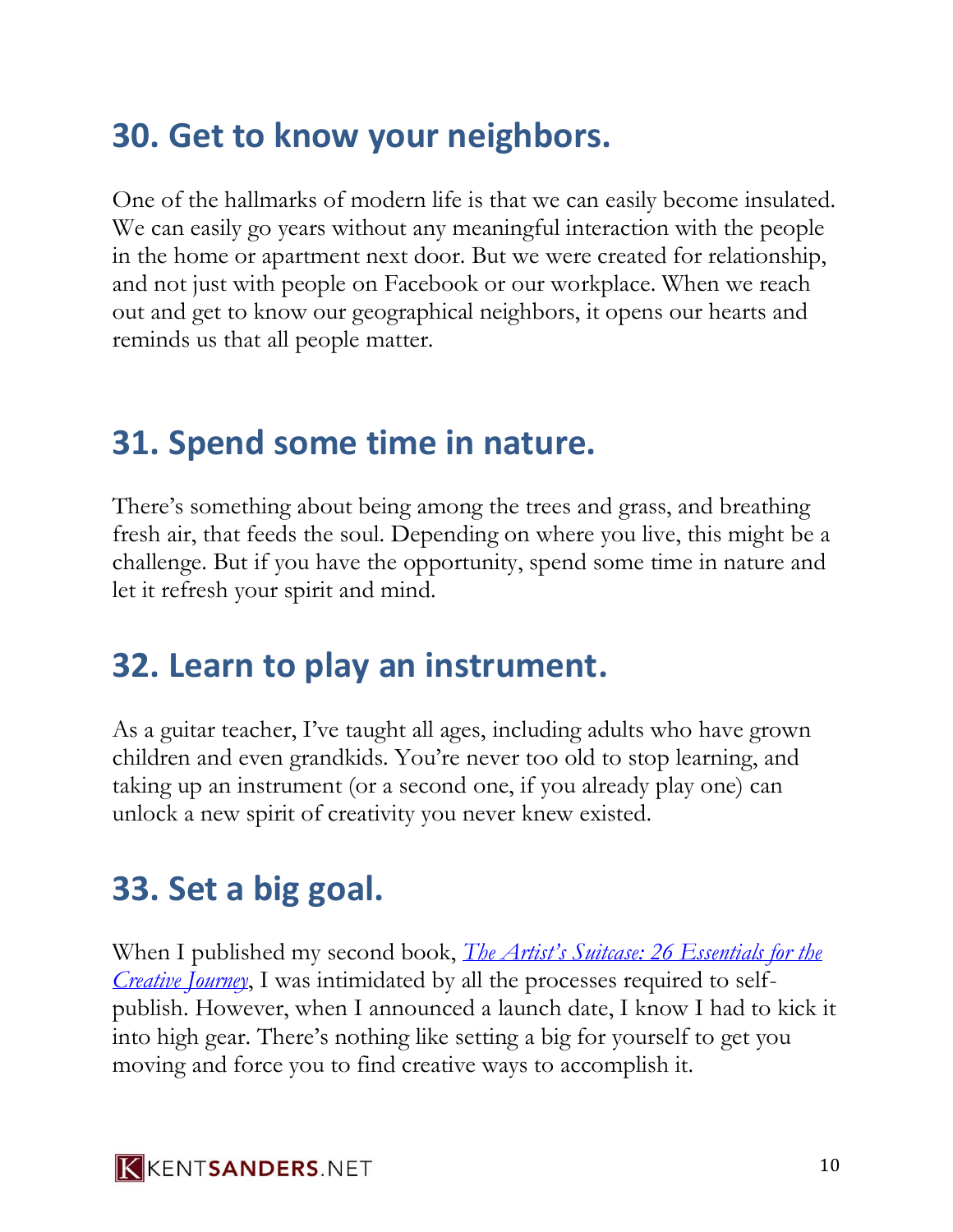## **30. Get to know your neighbors.**

One of the hallmarks of modern life is that we can easily become insulated. We can easily go years without any meaningful interaction with the people in the home or apartment next door. But we were created for relationship, and not just with people on Facebook or our workplace. When we reach out and get to know our geographical neighbors, it opens our hearts and reminds us that all people matter.

#### **31. Spend some time in nature.**

There's something about being among the trees and grass, and breathing fresh air, that feeds the soul. Depending on where you live, this might be a challenge. But if you have the opportunity, spend some time in nature and let it refresh your spirit and mind.

## **32. Learn to play an instrument.**

As a guitar teacher, I've taught all ages, including adults who have grown children and even grandkids. You're never too old to stop learning, and taking up an instrument (or a second one, if you already play one) can unlock a new spirit of creativity you never knew existed.

## **33. Set a big goal.**

When I published my second book, *[The Artist's Suitcase: 26 Essentials for the](http://www.kentsanders.net/artistssuitcase/)  [Creative Journey](http://www.kentsanders.net/artistssuitcase/)*, I was intimidated by all the processes required to selfpublish. However, when I announced a launch date, I know I had to kick it into high gear. There's nothing like setting a big for yourself to get you moving and force you to find creative ways to accomplish it.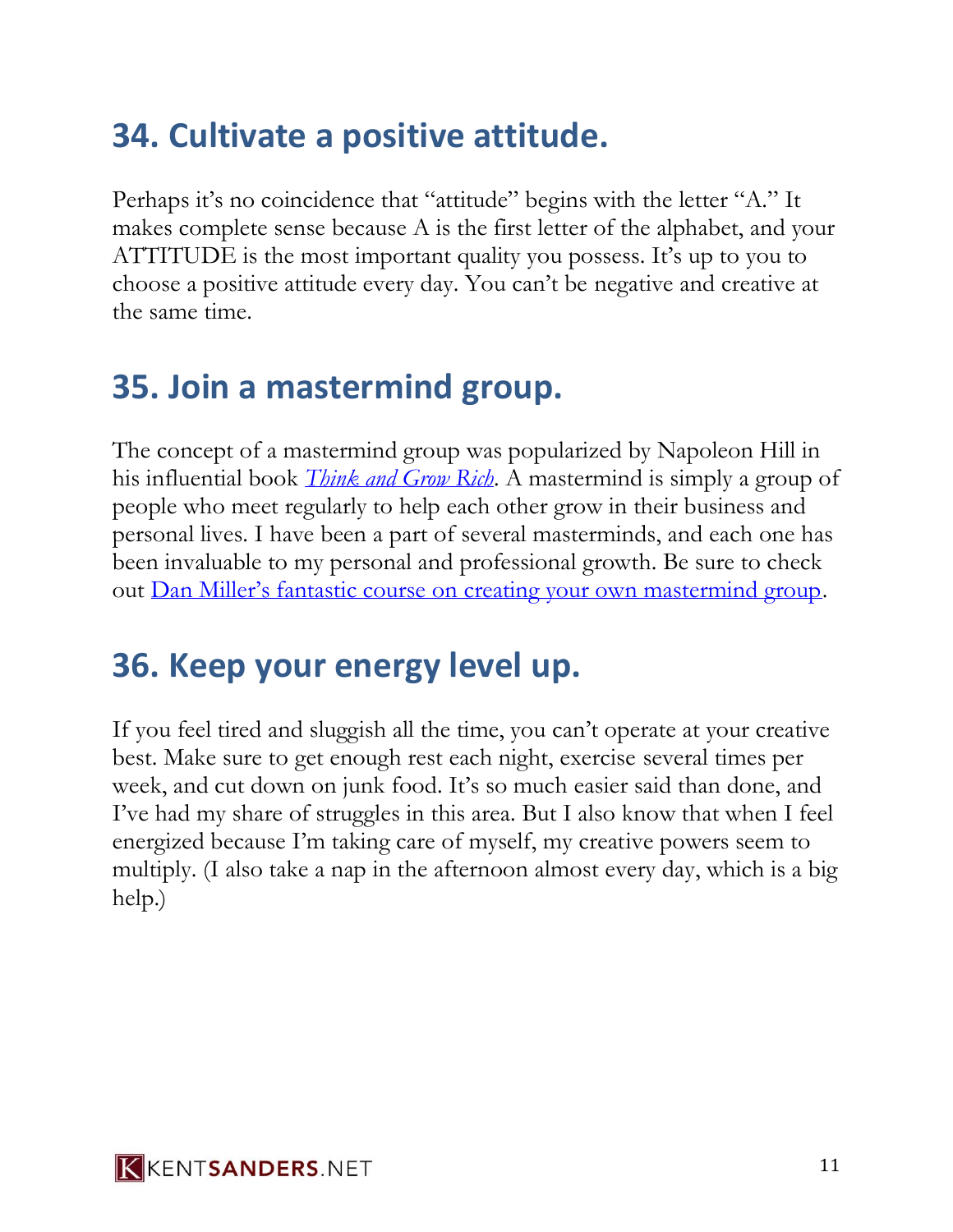## **34. Cultivate a positive attitude.**

Perhaps it's no coincidence that "attitude" begins with the letter "A." It makes complete sense because A is the first letter of the alphabet, and your ATTITUDE is the most important quality you possess. It's up to you to choose a positive attitude every day. You can't be negative and creative at the same time.

## **35. Join a mastermind group.**

The concept of a mastermind group was popularized by Napoleon Hill in his influential book *[Think and Grow Rich](http://www.amazon.com/Think-Grow-Rich-Landmark-Bestseller/dp/1585424331/ref=sr_1_1?ie=UTF8&qid=1444962498&sr=8-1&keywords=think+and+grow)*. A mastermind is simply a group of people who meet regularly to help each other grow in their business and personal lives. I have been a part of several masterminds, and each one has been invaluable to my personal and professional growth. Be sure to check out [Dan Miller's fantastic course on creating your own mastermind group](http://www.48days.com/create-your-own-mastermind-group-course/).

## **36. Keep your energy level up.**

If you feel tired and sluggish all the time, you can't operate at your creative best. Make sure to get enough rest each night, exercise several times per week, and cut down on junk food. It's so much easier said than done, and I've had my share of struggles in this area. But I also know that when I feel energized because I'm taking care of myself, my creative powers seem to multiply. (I also take a nap in the afternoon almost every day, which is a big help.)

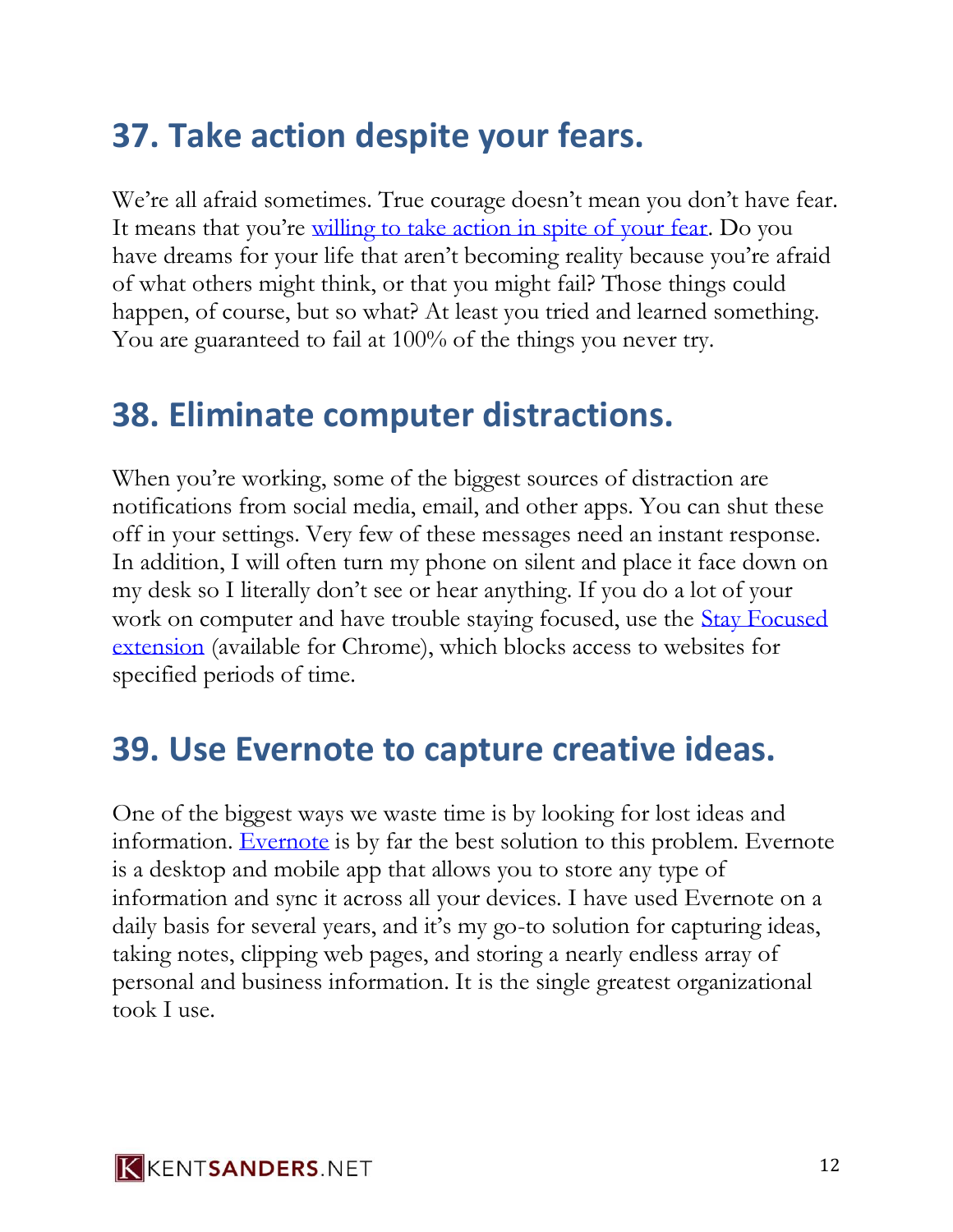## **37. Take action despite your fears.**

We're all afraid sometimes. True courage doesn't mean you don't have fear. It means that you're [willing to take action in spite of your fear.](http://www.kentsanders.net/move-past-your-fear/) Do you have dreams for your life that aren't becoming reality because you're afraid of what others might think, or that you might fail? Those things could happen, of course, but so what? At least you tried and learned something. You are guaranteed to fail at 100% of the things you never try.

#### **38. Eliminate computer distractions.**

When you're working, some of the biggest sources of distraction are notifications from social media, email, and other apps. You can shut these off in your settings. Very few of these messages need an instant response. In addition, I will often turn my phone on silent and place it face down on my desk so I literally don't see or hear anything. If you do a lot of your work on computer and have trouble staying focused, use the [Stay Focused](https://chrome.google.com/webstore/detail/stayfocusd/laankejkbhbdhmipfmgcngdelahlfoji?hl=en)  [extension](https://chrome.google.com/webstore/detail/stayfocusd/laankejkbhbdhmipfmgcngdelahlfoji?hl=en) (available for Chrome), which blocks access to websites for specified periods of time.

#### **39. Use Evernote to capture creative ideas.**

One of the biggest ways we waste time is by looking for lost ideas and information. [Evernote](http://evernote.com/) is by far the best solution to this problem. Evernote is a desktop and mobile app that allows you to store any type of information and sync it across all your devices. I have used Evernote on a daily basis for several years, and it's my go-to solution for capturing ideas, taking notes, clipping web pages, and storing a nearly endless array of personal and business information. It is the single greatest organizational took I use.

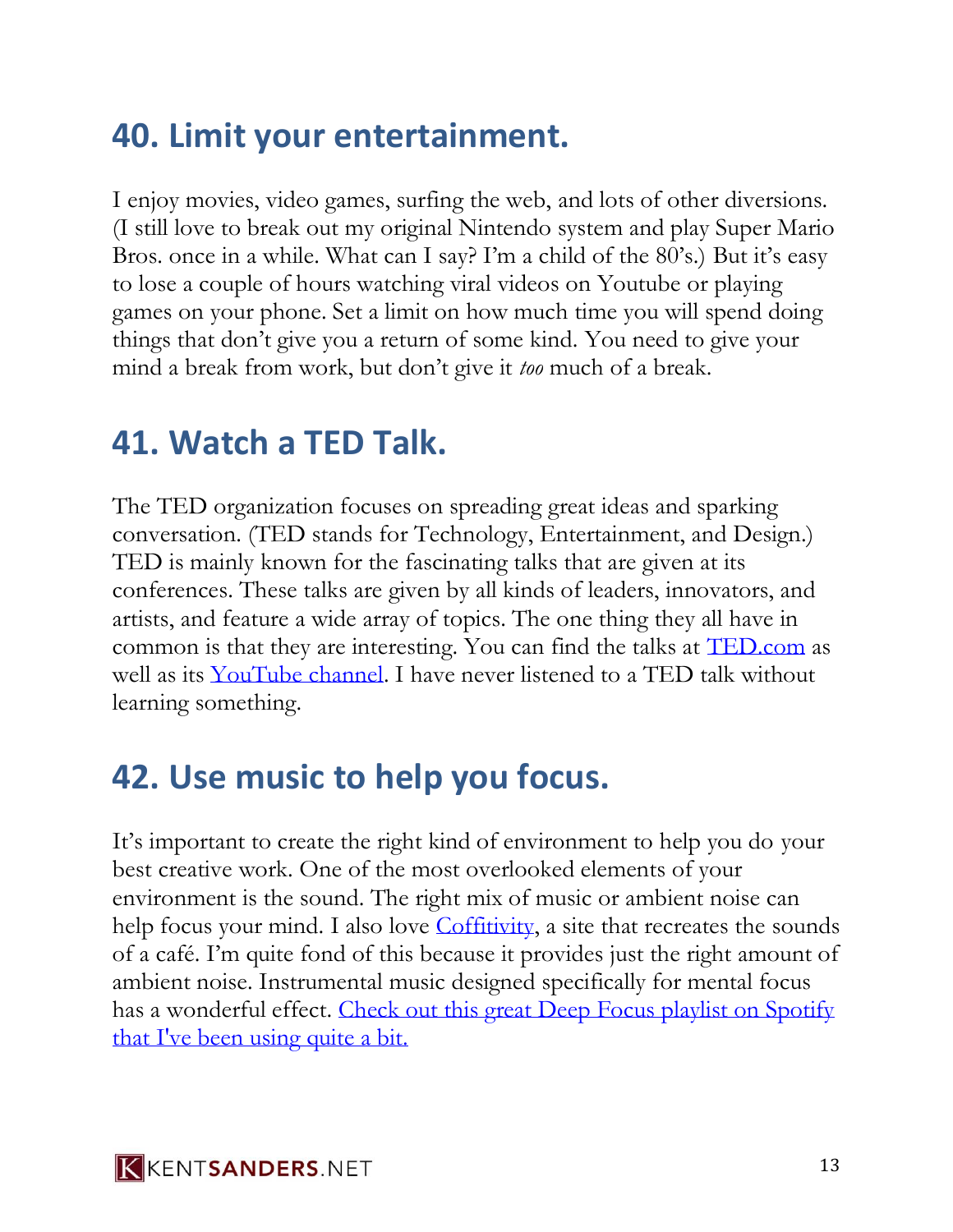## **40. Limit your entertainment.**

I enjoy movies, video games, surfing the web, and lots of other diversions. (I still love to break out my original Nintendo system and play Super Mario Bros. once in a while. What can I say? I'm a child of the 80's.) But it's easy to lose a couple of hours watching viral videos on Youtube or playing games on your phone. Set a limit on how much time you will spend doing things that don't give you a return of some kind. You need to give your mind a break from work, but don't give it *too* much of a break.

#### **41. Watch a TED Talk.**

The TED organization focuses on spreading great ideas and sparking conversation. (TED stands for Technology, Entertainment, and Design.) TED is mainly known for the fascinating talks that are given at its conferences. These talks are given by all kinds of leaders, innovators, and artists, and feature a wide array of topics. The one thing they all have in common is that they are interesting. You can find the talks at [TED.com](http://ted.com/) as well as its [YouTube channel.](https://www.youtube.com/user/TEDtalksDirector/videos) I have never listened to a TED talk without learning something.

## **42. Use music to help you focus.**

It's important to create the right kind of environment to help you do your best creative work. One of the most overlooked elements of your environment is the sound. The right mix of music or ambient noise can help focus your mind. I also love [Coffitivity,](http://coffitivity.com/) a site that recreates the sounds of a café. I'm quite fond of this because it provides just the right amount of ambient noise. Instrumental music designed specifically for mental focus has a wonderful effect. [Check out this great Deep Focus playlist on Spotify](https://el2.convertkit-mail.com/c/0vu0wk0d8u9h7w7xg/wnh2hghzp22wd/aHR0cHM6Ly9vcGVuLnNwb3RpZnkuY29tL3VzZXIvc3BvdGlmeS9wbGF5bGlzdC8zN2k5ZFFaRjFEV1plS0NhZGdSZEtRP3NpPXd1d0FPTUYxUnNLVE9vMmRzaHNwQ2c=)  [that I've been using quite a bit.](https://el2.convertkit-mail.com/c/0vu0wk0d8u9h7w7xg/wnh2hghzp22wd/aHR0cHM6Ly9vcGVuLnNwb3RpZnkuY29tL3VzZXIvc3BvdGlmeS9wbGF5bGlzdC8zN2k5ZFFaRjFEV1plS0NhZGdSZEtRP3NpPXd1d0FPTUYxUnNLVE9vMmRzaHNwQ2c=)

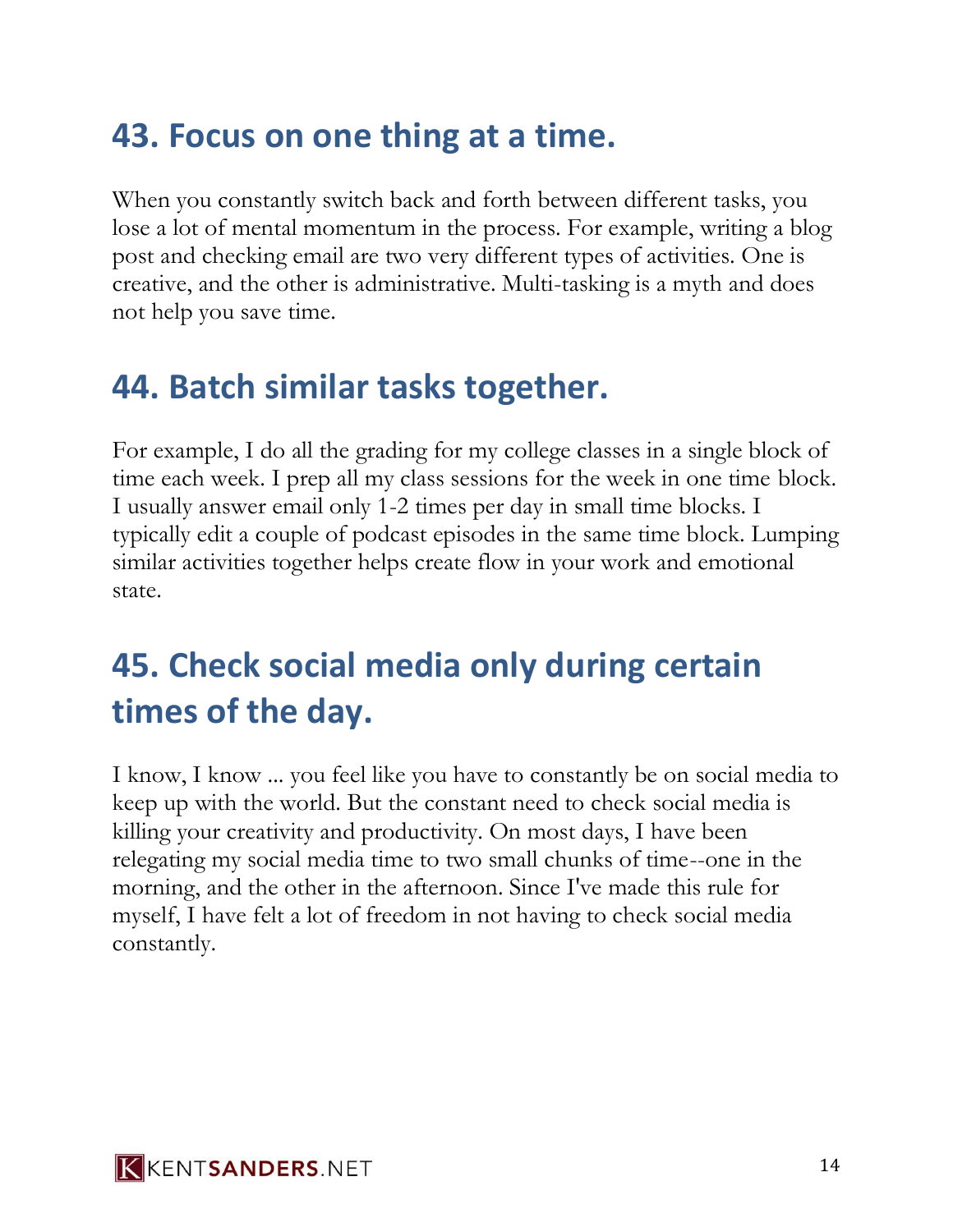## **43. Focus on one thing at a time.**

When you constantly switch back and forth between different tasks, you lose a lot of mental momentum in the process. For example, writing a blog post and checking email are two very different types of activities. One is creative, and the other is administrative. Multi-tasking is a myth and does not help you save time.

## **44. Batch similar tasks together.**

For example, I do all the grading for my college classes in a single block of time each week. I prep all my class sessions for the week in one time block. I usually answer email only 1-2 times per day in small time blocks. I typically edit a couple of podcast episodes in the same time block. Lumping similar activities together helps create flow in your work and emotional state.

## **45. Check social media only during certain times of the day.**

I know, I know ... you feel like you have to constantly be on social media to keep up with the world. But the constant need to check social media is killing your creativity and productivity. On most days, I have been relegating my social media time to two small chunks of time--one in the morning, and the other in the afternoon. Since I've made this rule for myself, I have felt a lot of freedom in not having to check social media constantly.

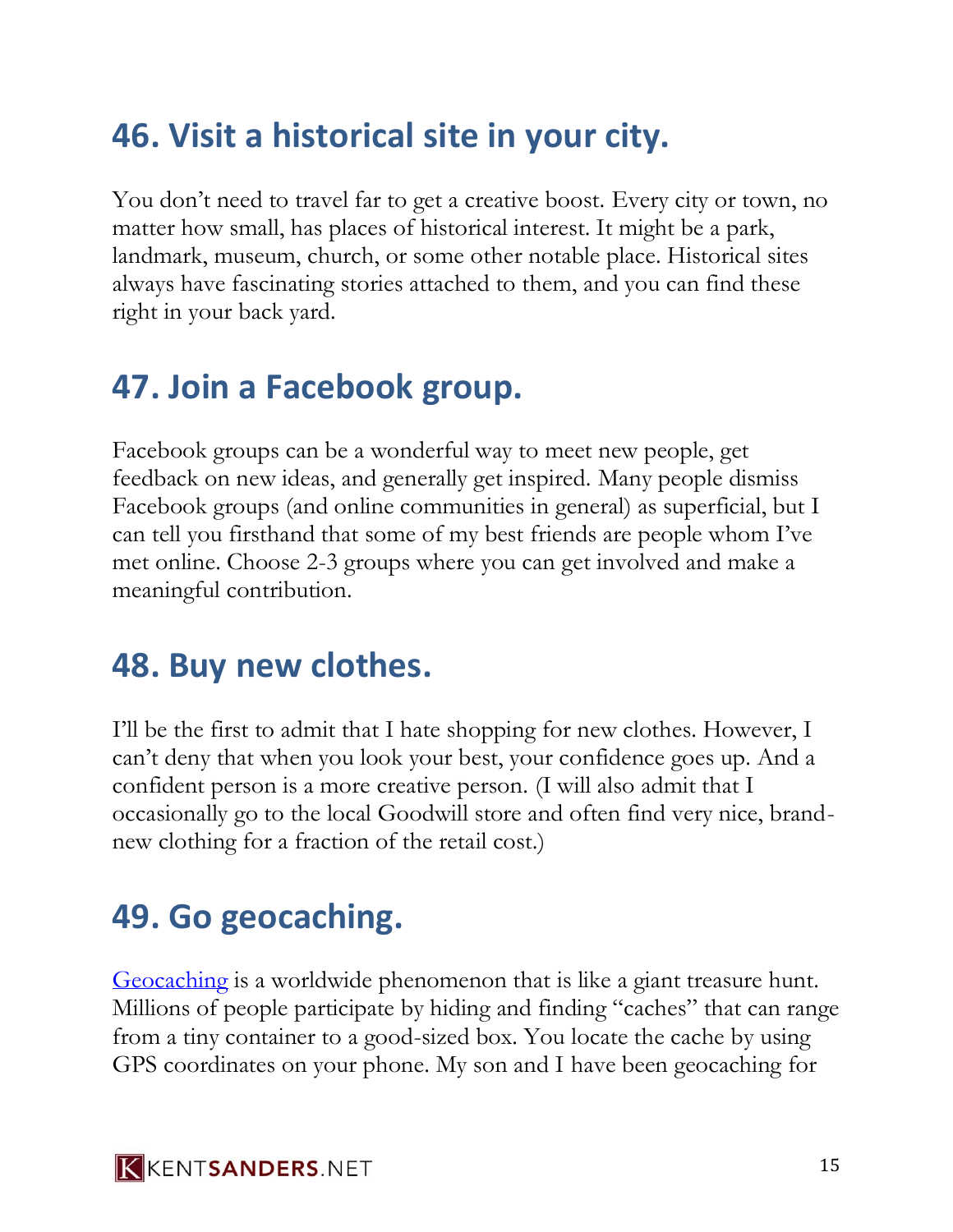## **46. Visit a historical site in your city.**

You don't need to travel far to get a creative boost. Every city or town, no matter how small, has places of historical interest. It might be a park, landmark, museum, church, or some other notable place. Historical sites always have fascinating stories attached to them, and you can find these right in your back yard.

## **47. Join a Facebook group.**

Facebook groups can be a wonderful way to meet new people, get feedback on new ideas, and generally get inspired. Many people dismiss Facebook groups (and online communities in general) as superficial, but I can tell you firsthand that some of my best friends are people whom I've met online. Choose 2-3 groups where you can get involved and make a meaningful contribution.

#### **48. Buy new clothes.**

I'll be the first to admit that I hate shopping for new clothes. However, I can't deny that when you look your best, your confidence goes up. And a confident person is a more creative person. (I will also admit that I occasionally go to the local Goodwill store and often find very nice, brandnew clothing for a fraction of the retail cost.)

## **49. Go geocaching.**

[Geocaching](http://geocaching.com/) is a worldwide phenomenon that is like a giant treasure hunt. Millions of people participate by hiding and finding "caches" that can range from a tiny container to a good-sized box. You locate the cache by using GPS coordinates on your phone. My son and I have been geocaching for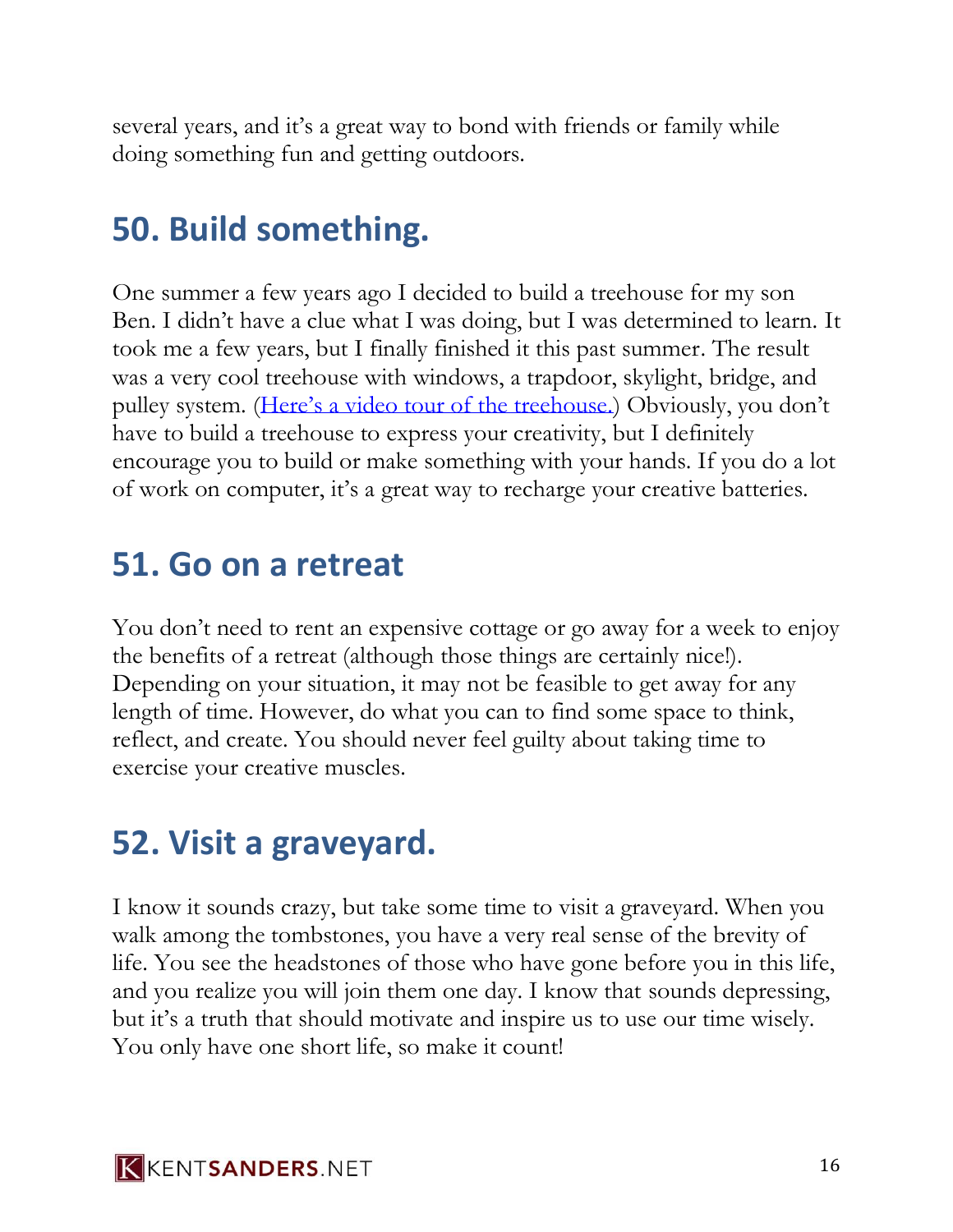several years, and it's a great way to bond with friends or family while doing something fun and getting outdoors.

## **50. Build something.**

One summer a few years ago I decided to build a treehouse for my son Ben. I didn't have a clue what I was doing, but I was determined to learn. It took me a few years, but I finally finished it this past summer. The result was a very cool treehouse with windows, a trapdoor, skylight, bridge, and pulley system. ([Here's a video tour of the treehouse.\)](https://www.youtube.com/watch?v=Db3NLfXxWQw) Obviously, you don't have to build a treehouse to express your creativity, but I definitely encourage you to build or make something with your hands. If you do a lot of work on computer, it's a great way to recharge your creative batteries.

## **51. Go on a retreat**

You don't need to rent an expensive cottage or go away for a week to enjoy the benefits of a retreat (although those things are certainly nice!). Depending on your situation, it may not be feasible to get away for any length of time. However, do what you can to find some space to think, reflect, and create. You should never feel guilty about taking time to exercise your creative muscles.

## **52. Visit a graveyard.**

I know it sounds crazy, but take some time to visit a graveyard. When you walk among the tombstones, you have a very real sense of the brevity of life. You see the headstones of those who have gone before you in this life, and you realize you will join them one day. I know that sounds depressing, but it's a truth that should motivate and inspire us to use our time wisely. You only have one short life, so make it count!

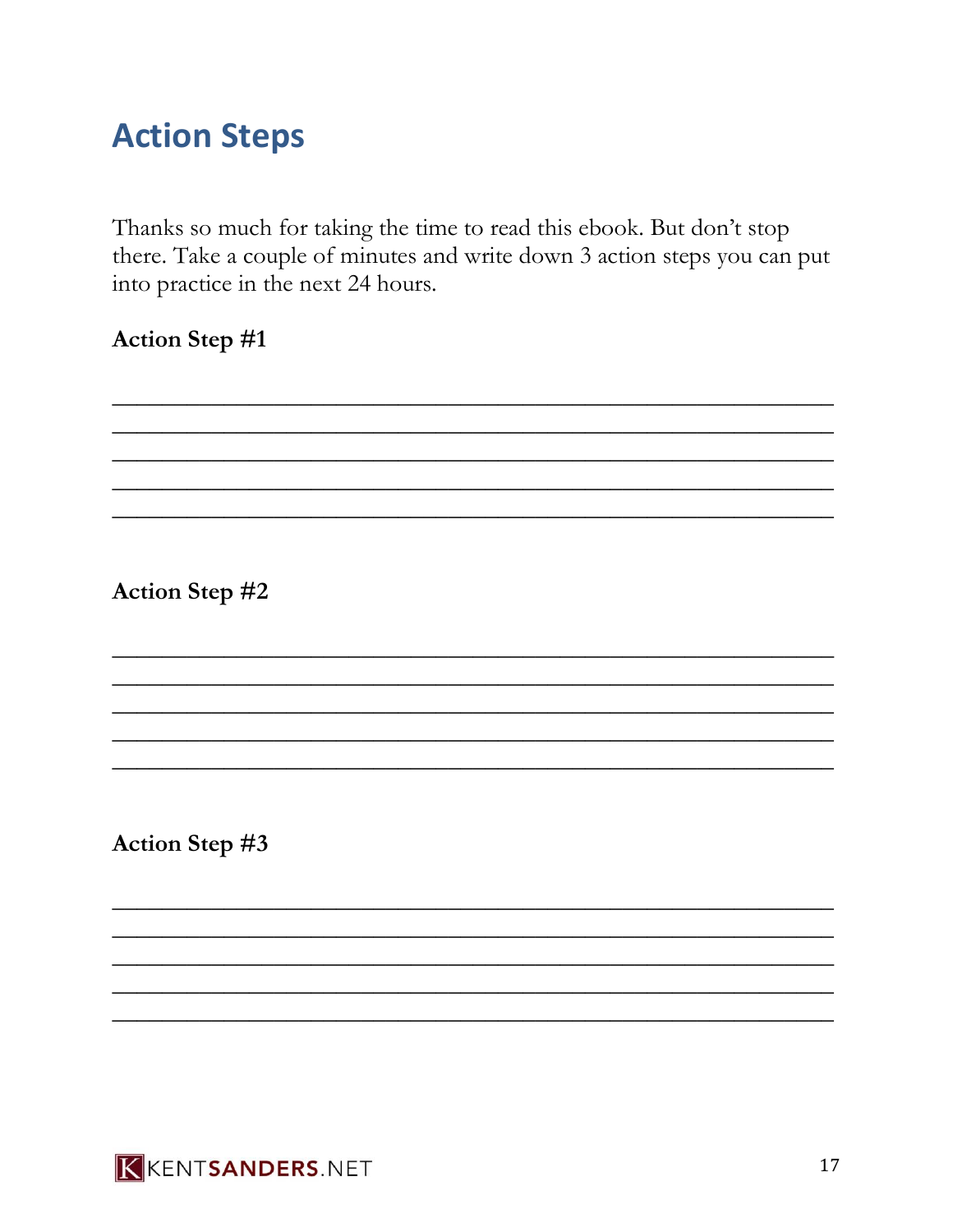## **Action Steps**

Thanks so much for taking the time to read this ebook. But don't stop there. Take a couple of minutes and write down 3 action steps you can put into practice in the next 24 hours.

#### Action Step #1

Action Step #2

Action Step #3

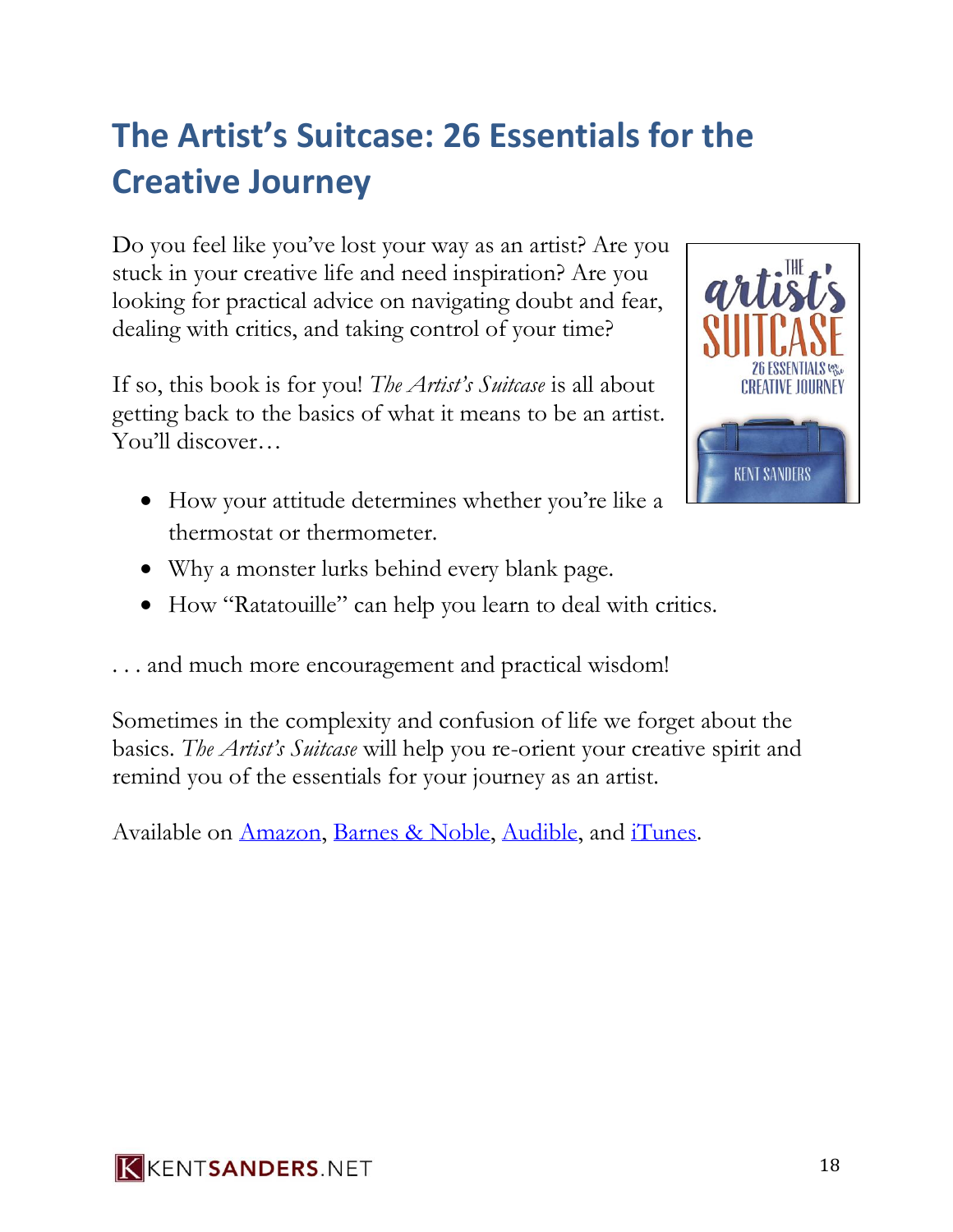## **The Artist's Suitcase: 26 Essentials for the Creative Journey**

Do you feel like you've lost your way as an artist? Are you stuck in your creative life and need inspiration? Are you looking for practical advice on navigating doubt and fear, dealing with critics, and taking control of your time?

If so, this book is for you! *The Artist's Suitcase* is all about getting back to the basics of what it means to be an artist. You'll discover…

• How your attitude determines whether you're like a thermostat or thermometer.



- Why a monster lurks behind every blank page.
- How "Ratatouille" can help you learn to deal with critics.

. . . and much more encouragement and practical wisdom!

Sometimes in the complexity and confusion of life we forget about the basics. *The Artist's Suitcase* will help you re-orient your creative spirit and remind you of the essentials for your journey as an artist.

Available on [Amazon,](http://kentsanders.net/suitcase) [Barnes & Noble,](http://www.barnesandnoble.com/w/the-artists-suitcase-kent-sanders/1122591801?ean=9781515011880) [Audible,](http://www.audible.com/pd/Self-Development/The-Artists-Suitcase-Audiobook/B014TECPL4/ref=a_search_c4_1_1_srTtl?qid=1488860725&sr=1-1) and [iTunes.](https://itunes.apple.com/us/audiobook/artists-suitcase-26-essentials-for-creative-journey/id1037076991)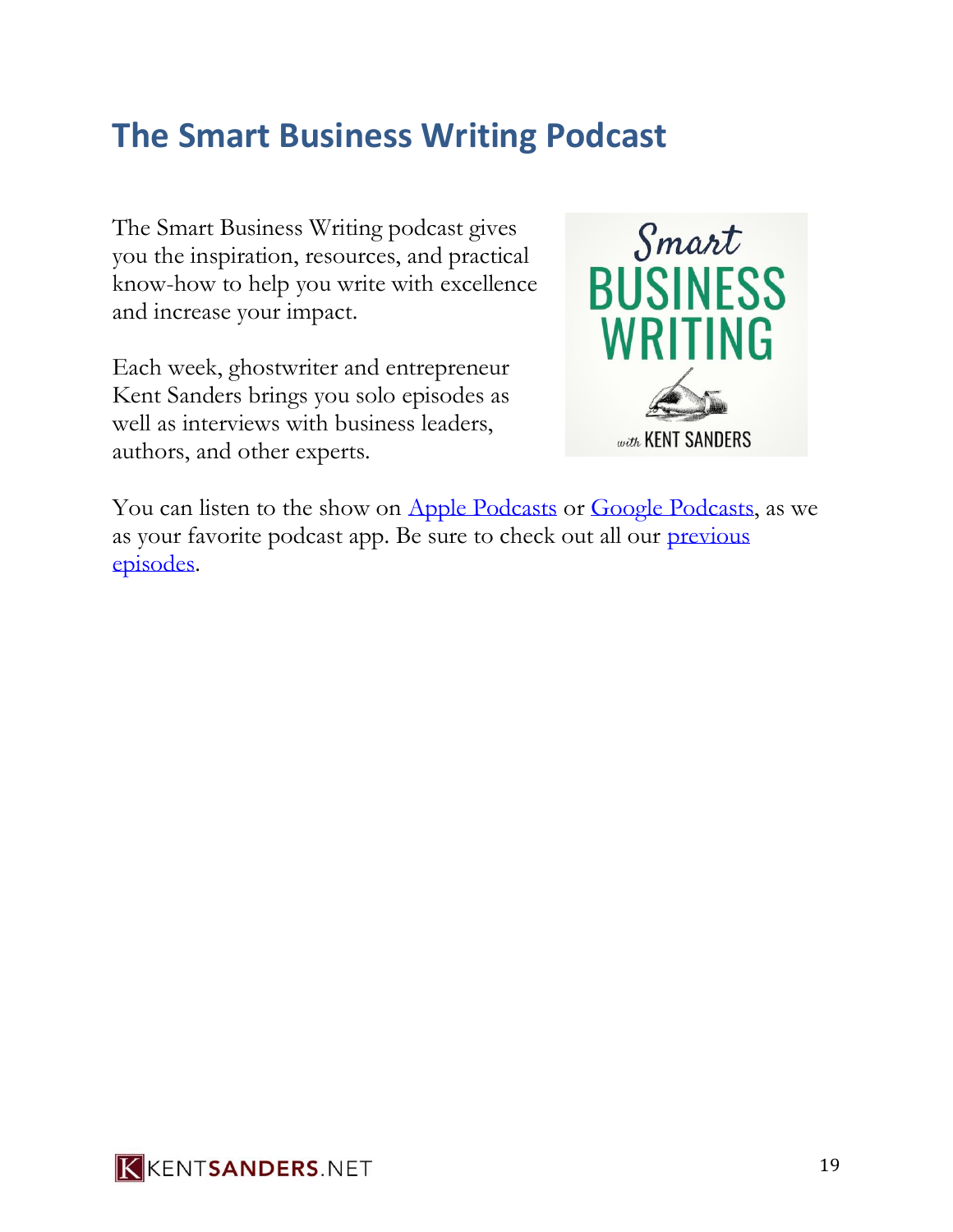## **The Smart Business Writing Podcast**

The Smart Business Writing podcast gives you the inspiration, resources, and practical know-how to help you write with excellence and increase your impact.

Each week, ghostwriter and entrepreneur Kent Sanders brings you solo episodes as well as interviews with business leaders, authors, and other experts.



You can listen to the show on [Apple Podcasts](https://www.kentsanders.net/itunes) or [Google Podcasts,](https://www.kentsanders.net/googlepodcasts) as we as your favorite podcast app. Be sure to check out all our [previous](https://www.kentsanders.net/podcast/)  [episodes.](https://www.kentsanders.net/podcast/)